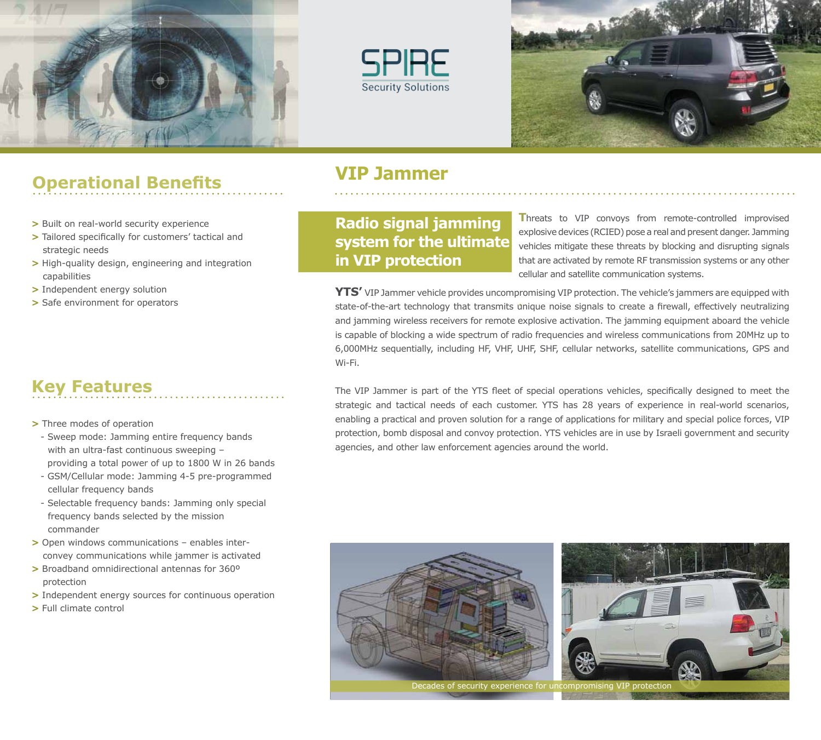





# **VIP Jammer Operational Benefits**

- **>** Built on real-world security experience
- **>** Tailored specifically for customers' tactical and strategic needs
- **>** High-quality design, engineering and integration capabilities
- **>** Independent energy solution
- **>** Safe environment for operators

## **Key Features**

- **>** Three modes of operation
	- Sweep mode: Jamming entire frequency bands with an ultra-fast continuous sweeping providing a total power of up to 1800 W in 26 bands
	- GSM/Cellular mode: Jamming 4-5 pre-programmed cellular frequency bands
	- Selectable frequency bands: Jamming only special frequency bands selected by the mission commander
- **>** Open windows communications enables inter convey communications while jammer is activated
- **>** Broadband omnidirectional antennas for 360º protection
- **>** Independent energy sources for continuous operation
- **>** Full climate control

**Radio signal jamming system for the ultimate in VIP protection**

**T**hreats to VIP convoys from remote-controlled improvised explosive devices (RCIED) pose a real and present danger. Jamming vehicles mitigate these threats by blocking and disrupting signals that are activated by remote RF transmission systems or any other cellular and satellite communication systems.

**.**  state-of-the-art technology that transmits unique noise signals to create a firewall, effectively neutralizing **YTS'** VIP Jammer vehicle provides uncompromising VIP protection. The vehicle's jammers are equipped with and jamming wireless receivers for remote explosive activation. The jamming equipment aboard the vehicle is capable of blocking a wide spectrum of radio frequencies and wireless communications from 20MHz up to 6,000MHz sequentially, including HF, VHF, UHF, SHF, cellular networks, satellite communications, GPS and Wi-Fi.

The VIP Jammer is part of the YTS fleet of special operations vehicles, specifically designed to meet the strategic and tactical needs of each customer. YTS has 28 years of experience in real-world scenarios, enabling a practical and proven solution for a range of applications for military and special police forces, VIP protection, bomb disposal and convoy protection. YTS vehicles are in use by Israeli government and security agencies, and other law enforcement agencies around the world.



Decades of security experience for uncompromising VIP protection